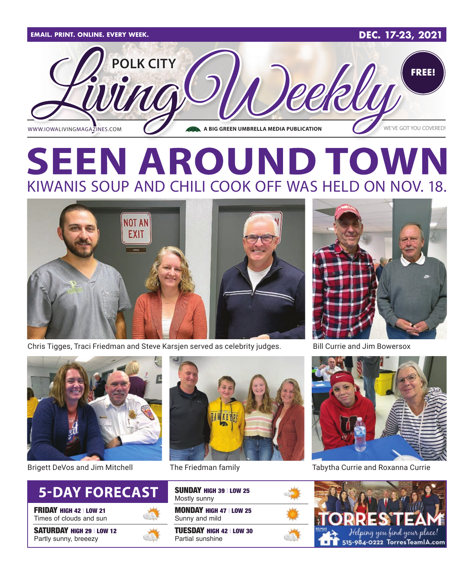

# **SEEN AROUND TOWN** KIWANIS SOUP AND CHILI COOK OFF WAS HELD ON NOV. 18.



Chris Tigges, Traci Friedman and Steve Karsjen served as celebrity judges.



**Currie and Jim Bowersox** 



Brigett DeVos and Jim Mitchell



FRIDAY HIGH 42 | LOW 21 Times of clouds and sun

SATURDAY HIGH 29 | LOW 12 Partly sunny, breeezy



MONDAY HIGH 47 | LOW 25 Sunny and mild SUNDAY HIGH 39 | LOW 25 Mostly sunny

TUESDAY HIGH 42 | LOW 30 Partial sunshine



The Friedman family Tabytha Currie and Roxanna Currie

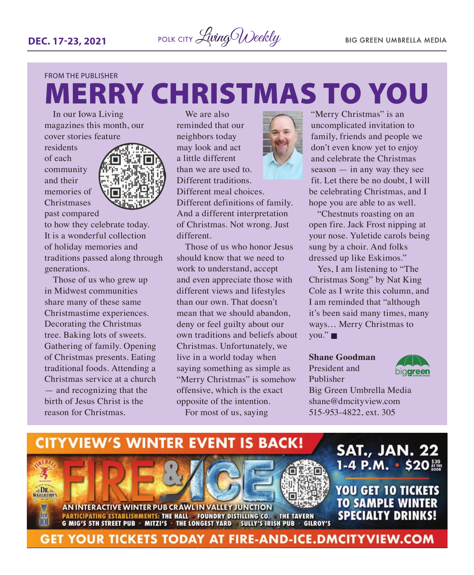

## FROM THE PUBLISHER MERRY CHRISTMAS TO YOU

In our Iowa Living magazines this month, our cover stories feature

residents of each community and their memories of **Christmases** past compared



to how they celebrate today. It is a wonderful collection of holiday memories and traditions passed along through generations.

Those of us who grew up in Midwest communities share many of these same Christmastime experiences. Decorating the Christmas tree. Baking lots of sweets. Gathering of family. Opening of Christmas presents. Eating traditional foods. Attending a Christmas service at a church — and recognizing that the birth of Jesus Christ is the reason for Christmas.

We are also reminded that our neighbors today may look and act a little different than we are used to. Different traditions. Different meal choices. Different definitions of family. And a different interpretation of Christmas. Not wrong. Just different.

Those of us who honor Jesus should know that we need to work to understand, accept and even appreciate those with different views and lifestyles than our own. That doesn't mean that we should abandon deny or feel guilty about our own traditions and beliefs about Christmas. Unfortunately, we live in a world today when saying something as simple as "Merry Christmas" is somehow offensive, which is the exact opposite of the intention. For most of us, saying



"Merry Christmas" is an uncomplicated invitation to family, friends and people we don't even know yet to enjoy and celebrate the Christmas season — in any way they see fit. Let there be no doubt, I will be celebrating Christmas, and I hope you are able to as well.

"Chestnuts roasting on an open fire. Jack Frost nipping at your nose. Yuletide carols being sung by a choir. And folks dressed up like Eskimos."

Yes, I am listening to "The Christmas Song" by Nat King Cole as I write this column, and I am reminded that "although it's been said many times, many ways… Merry Christmas to  $you."$ 

#### **Shane Goodman**

President and Publisher



Big Green Umbrella Media shane@dmcityview.com 515-953-4822, ext. 305

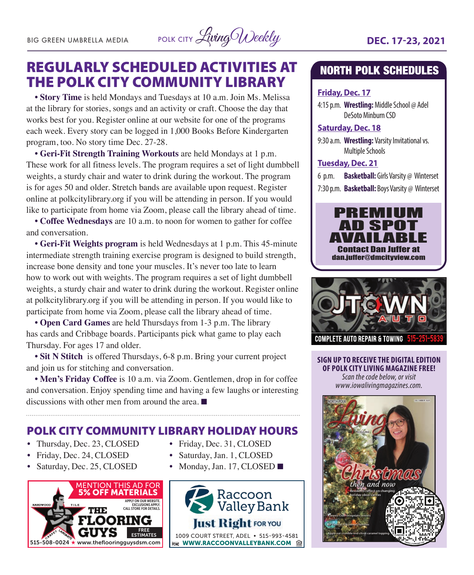BIG GREEN UMBRELLA MEDIA POLK CITY Living Weekly **DEC. 17-23, 2021** 

### REGULARLY SCHEDULED ACTIVITIES AT THE POLK CITY COMMUNITY LIBRARY

**• Story Time** is held Mondays and Tuesdays at 10 a.m. Join Ms. Melissa at the library for stories, songs and an activity or craft. Choose the day that works best for you. Register online at our website for one of the programs each week. Every story can be logged in 1,000 Books Before Kindergarten program, too. No story time Dec. 27-28.

**• Geri-Fit Strength Training Workouts** are held Mondays at 1 p.m. These work for all fitness levels. The program requires a set of light dumbbell weights, a sturdy chair and water to drink during the workout. The program is for ages 50 and older. Stretch bands are available upon request. Register online at polkcitylibrary.org if you will be attending in person. If you would like to participate from home via Zoom, please call the library ahead of time.

**• Coffee Wednesdays** are 10 a.m. to noon for women to gather for coffee and conversation.

**• Geri-Fit Weights program** is held Wednesdays at 1 p.m. This 45-minute intermediate strength training exercise program is designed to build strength, increase bone density and tone your muscles. It's never too late to learn how to work out with weights. The program requires a set of light dumbbell weights, a sturdy chair and water to drink during the workout. Register online at polkcitylibrary.org if you will be attending in person. If you would like to participate from home via Zoom, please call the library ahead of time.

**• Open Card Games** are held Thursdays from 1-3 p.m. The library has cards and Cribbage boards. Participants pick what game to play each Thursday. For ages 17 and older.

**• Sit N Stitch** is offered Thursdays, 6-8 p.m. Bring your current project and join us for stitching and conversation.

**• Men's Friday Coffee** is 10 a.m. via Zoom. Gentlemen, drop in for coffee and conversation. Enjoy spending time and having a few laughs or interesting discussions with other men from around the area.  $\blacksquare$ 

August Only POLK CITY COMMUNITY LIBRARY HOLIDAY HOURS

- Thursday, Dec. 23, CLOSED
- Friday, Dec. 25, CLOSED<br>• Friday, Dec. 24, CLOSED Saturday
- Saturday, Dec. 25, CLOSED



- Friday, Dec. 31, CLOSED
- Saturday, Jan. 1, CLOSED
- Monday, Jan. 17, CLOSED  $\blacksquare$



### NORTH POLK SCHEDULES

#### **Friday, Dec. 17**

4:15 p.m. **Wrestling:** Middle School @ Adel DeSoto Minburn CSD

#### **Saturday, Dec. 18**

9:30 a.m. **Wrestling:** Varsity Invitational vs. Multiple Schools

#### **Tuesday, Dec. 21**

- 6 p.m. **Basketball:** Girls Varsity @ Winterset
- 7:30 p.m. **Basketball:** Boys Varsity @ Winterset





**SIGN UP TO RECEIVE THE DIGITAL EDITION OF POLK CITY LIVING MAGAZINE FREE!**  *Scan the code below, or visit www.iowalivingmagazines.com.*